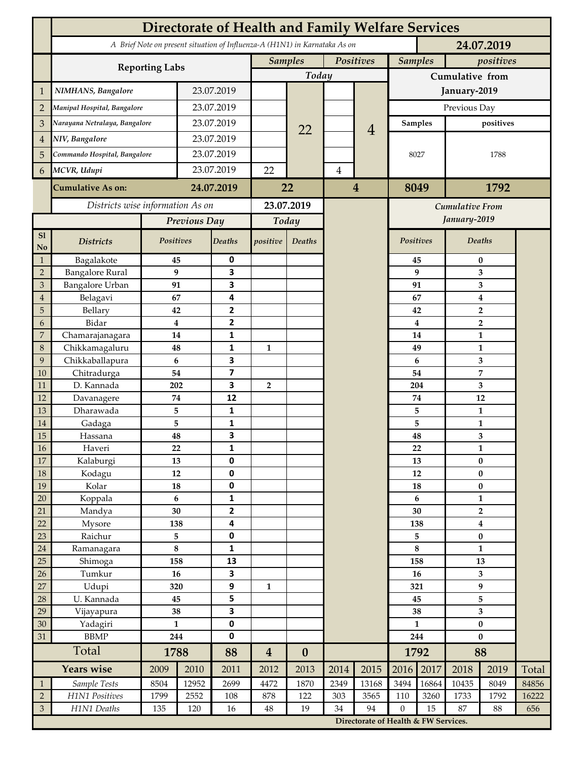|                 | <b>Directorate of Health and Family Welfare Services</b> |                        |            |                         |                                                                            |                  |                         |                                      |                             |                               |                                           |                         |       |  |
|-----------------|----------------------------------------------------------|------------------------|------------|-------------------------|----------------------------------------------------------------------------|------------------|-------------------------|--------------------------------------|-----------------------------|-------------------------------|-------------------------------------------|-------------------------|-------|--|
|                 |                                                          |                        |            |                         | A Brief Note on present situation of Influenza-A (H1N1) in Karnataka As on |                  |                         |                                      | 24.07.2019                  |                               |                                           |                         |       |  |
|                 | <b>Reporting Labs</b>                                    |                        |            |                         | <b>Samples</b><br>Positives                                                |                  |                         |                                      | <b>Samples</b><br>positives |                               |                                           |                         |       |  |
|                 |                                                          |                        |            |                         | Today                                                                      |                  |                         |                                      | Cumulative from             |                               |                                           |                         |       |  |
| 1               | NIMHANS, Bangalore                                       | 23.07.2019             |            |                         |                                                                            |                  |                         | January-2019                         |                             |                               |                                           |                         |       |  |
| $\overline{2}$  | Manipal Hospital, Bangalore                              |                        |            | 23.07.2019              |                                                                            |                  |                         |                                      | Previous Day                |                               |                                           |                         |       |  |
| 3               | Narayana Netralaya, Bangalore                            |                        |            | 23.07.2019              |                                                                            |                  |                         |                                      |                             | <b>Samples</b>                |                                           | positives               |       |  |
| $\overline{4}$  | NIV, Bangalore                                           |                        |            | 23.07.2019              |                                                                            | 22               |                         | $\overline{4}$                       |                             |                               |                                           |                         |       |  |
|                 | Commando Hospital, Bangalore                             |                        | 23.07.2019 |                         |                                                                            |                  |                         |                                      | 8027                        |                               | 1788                                      |                         |       |  |
| 5               | MCVR, Udupi                                              |                        | 23.07.2019 |                         |                                                                            |                  |                         |                                      |                             |                               |                                           |                         |       |  |
| 6               |                                                          |                        |            |                         | 22                                                                         |                  | $\overline{\mathbf{4}}$ |                                      |                             |                               |                                           |                         |       |  |
|                 | <b>Cumulative As on:</b>                                 | 24.07.2019             |            | 22                      |                                                                            |                  | $\overline{\mathbf{4}}$ | 8049                                 |                             | 1792                          |                                           |                         |       |  |
|                 | Districts wise information As on                         |                        |            | 23.07.2019              |                                                                            |                  |                         | Cumulative From                      |                             |                               |                                           |                         |       |  |
|                 |                                                          | Previous Day           |            | Today                   |                                                                            |                  |                         |                                      |                             |                               | January-2019                              |                         |       |  |
| S1<br>No        | <b>Districts</b>                                         | Positives              |            | <b>Deaths</b>           | positive                                                                   | Deaths           |                         |                                      |                             | Positives                     |                                           | Deaths                  |       |  |
| $\mathbf{1}$    | Bagalakote                                               | 45                     |            | 0                       |                                                                            |                  |                         |                                      |                             | 45                            | $\bf{0}$                                  |                         |       |  |
| $\overline{2}$  | <b>Bangalore Rural</b>                                   | 9                      |            | 3                       |                                                                            |                  |                         |                                      |                             | 9                             | 3                                         |                         |       |  |
| 3               | Bangalore Urban                                          | 91                     |            | 3                       |                                                                            |                  |                         |                                      | 91                          | 3                             |                                           |                         |       |  |
| $\overline{4}$  | Belagavi                                                 | 67                     |            | 4<br>$\mathbf{2}$       |                                                                            |                  |                         |                                      |                             | 67                            | 4                                         |                         |       |  |
| 5<br>6          | Bellary<br>Bidar                                         | 42<br>$\boldsymbol{4}$ |            | $\overline{2}$          |                                                                            |                  |                         |                                      |                             | 42<br>$\overline{\mathbf{4}}$ | $\overline{2}$<br>$\overline{\mathbf{2}}$ |                         |       |  |
| 7               | Chamarajanagara                                          | 14                     |            | 1                       |                                                                            |                  |                         |                                      |                             | 14                            | 1                                         |                         |       |  |
| $\,8\,$         | Chikkamagaluru                                           | 48                     |            | 1                       | 1                                                                          |                  |                         |                                      |                             | 49                            |                                           | 1                       |       |  |
| 9               | Chikkaballapura                                          | 6                      |            | 3                       |                                                                            |                  |                         |                                      |                             | 6                             |                                           | 3                       |       |  |
| 10              | Chitradurga                                              | 54                     |            | $\overline{\mathbf{z}}$ |                                                                            |                  |                         |                                      |                             | 54                            |                                           | $\overline{\mathbf{7}}$ |       |  |
| 11              | D. Kannada                                               | 202                    |            | 3                       | $\overline{2}$                                                             |                  |                         |                                      |                             | 204                           | 3                                         |                         |       |  |
| 12              | Davanagere                                               | 74                     |            | 12                      |                                                                            |                  |                         |                                      |                             | $74\,$                        | 12                                        |                         |       |  |
| 13              | Dharawada                                                | 5                      |            | 1                       |                                                                            |                  |                         |                                      |                             | 5                             | $\mathbf{1}$                              |                         |       |  |
| 14              | Gadaga                                                   | 5                      |            | $\mathbf{1}$            |                                                                            |                  |                         |                                      |                             | 5                             | $\mathbf{1}$                              |                         |       |  |
| 15<br>16        | Hassana<br>Haveri                                        | 48<br>22               |            | 3<br>$\mathbf{1}$       |                                                                            |                  |                         |                                      |                             | 48                            | 3<br>$\mathbf{1}$                         |                         |       |  |
| 17              | Kalaburgi                                                | 13                     |            | 0                       |                                                                            |                  |                         |                                      | 22<br>13                    |                               | $\bf{0}$                                  |                         |       |  |
| 18              | Kodagu                                                   | 12                     |            | 0                       |                                                                            |                  |                         |                                      |                             | $12\,$                        | $\pmb{0}$                                 |                         |       |  |
| 19              | Kolar                                                    | 18                     |            | $\pmb{0}$               |                                                                            |                  |                         |                                      | 18                          |                               | $\bf{0}$                                  |                         |       |  |
| 20              | Koppala                                                  | $\boldsymbol{6}$       |            | $\mathbf{1}$            |                                                                            |                  |                         |                                      | $\boldsymbol{6}$            |                               | $\mathbf{1}$                              |                         |       |  |
| 21              | Mandya                                                   | 30                     |            | $\mathbf{2}$            |                                                                            |                  |                         |                                      | 30                          |                               | $\mathbf 2$                               |                         |       |  |
| 22              | Mysore                                                   | 138                    |            | 4                       |                                                                            |                  |                         |                                      | 138                         |                               | 4                                         |                         |       |  |
| 23              | Raichur                                                  | 5                      |            | 0                       |                                                                            |                  |                         |                                      | 5                           |                               | $\pmb{0}$                                 |                         |       |  |
| 24              | Ramanagara                                               | $\bf 8$                |            | 1                       |                                                                            |                  |                         |                                      | $\bf 8$                     |                               | $\mathbf{1}$                              |                         |       |  |
| 25              | Shimoga<br>Tumkur                                        | 158<br>16              |            | 13<br>3                 |                                                                            |                  |                         |                                      | 158<br>16                   |                               | 13<br>3                                   |                         |       |  |
| 26<br>27        | Udupi                                                    | 320                    |            | 9                       | $\mathbf{1}$                                                               |                  |                         |                                      | 321                         |                               | 9                                         |                         |       |  |
| 28              | U. Kannada                                               | 45                     |            | 5                       |                                                                            |                  |                         |                                      | 45                          |                               | 5                                         |                         |       |  |
| 29              | Vijayapura                                               | 38                     |            | 3                       |                                                                            |                  |                         |                                      | 38                          |                               | $\mathbf{3}$                              |                         |       |  |
| $\overline{30}$ | Yadagiri                                                 | $\mathbf{1}$           |            | $\pmb{0}$               |                                                                            |                  |                         |                                      | $\mathbf{1}$                |                               | $\bf{0}$                                  |                         |       |  |
| 31              | <b>BBMP</b>                                              |                        | 244        |                         |                                                                            |                  |                         |                                      | 244                         |                               | $\bf{0}$                                  |                         |       |  |
|                 | Total                                                    | 1788                   |            | 88                      | $\boldsymbol{4}$                                                           | $\boldsymbol{0}$ |                         |                                      | 1792                        |                               | 88                                        |                         |       |  |
|                 | <b>Years wise</b>                                        | 2009                   | 2010       | 2011                    | 2012                                                                       | 2013             | 2014                    | 2015                                 | 2016                        | 2017                          | 2018                                      | 2019                    | Total |  |
| $\mathbf{1}$    | Sample Tests                                             | 8504                   | 12952      | 2699                    | 4472                                                                       | 1870             | 2349                    | 13168                                | 3494                        | 16864                         | 10435                                     | 8049                    | 84856 |  |
| $\overline{2}$  | H1N1 Positives                                           | 1799                   | 2552       | 108                     | 878                                                                        | 122              | 303                     | 3565                                 | 110                         | 3260                          | 1733                                      | 1792                    | 16222 |  |
| $\mathfrak{Z}$  | H1N1 Deaths                                              | 135                    | 120        | 16                      | $\rm 48$                                                                   | 19               | 34                      | 94                                   | $\boldsymbol{0}$            | 15                            | 87                                        | 88                      | 656   |  |
|                 |                                                          |                        |            |                         |                                                                            |                  |                         | Directorate of Health & FW Services. |                             |                               |                                           |                         |       |  |